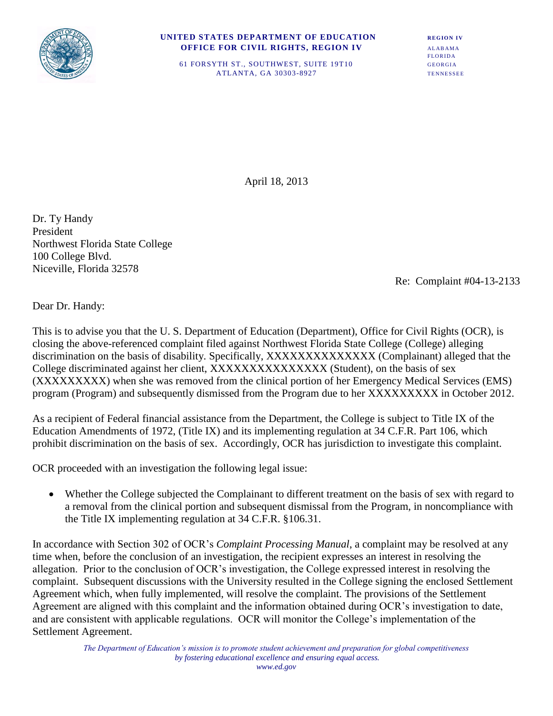

## **UNITED STATES DEPARTMENT OF EDUCATION REGION IV** *OFFICE FOR CIVIL RIGHTS, REGION IV ALABAMA*

FLORIDA 61 FORSYTH ST., SOUTHWEST, SUITE 19T10 GEORGIA ATLANTA, GA 30303-8927 TENNESSEE

April 18, 2013

Dr. Ty Handy President Northwest Florida State College 100 College Blvd. Niceville, Florida 32578

Re: Complaint #04-13-2133

Dear Dr. Handy:

This is to advise you that the U. S. Department of Education (Department), Office for Civil Rights (OCR), is closing the above-referenced complaint filed against Northwest Florida State College (College) alleging discrimination on the basis of disability. Specifically, XXXXXXXXXXXXXX (Complainant) alleged that the College discriminated against her client, XXXXXXXXXXXXXXX (Student), on the basis of sex (XXXXXXXXX) when she was removed from the clinical portion of her Emergency Medical Services (EMS) program (Program) and subsequently dismissed from the Program due to her XXXXXXXXX in October 2012.

As a recipient of Federal financial assistance from the Department, the College is subject to Title IX of the Education Amendments of 1972, (Title IX) and its implementing regulation at 34 C.F.R. Part 106, which prohibit discrimination on the basis of sex. Accordingly, OCR has jurisdiction to investigate this complaint.

OCR proceeded with an investigation the following legal issue:

 Whether the College subjected the Complainant to different treatment on the basis of sex with regard to a removal from the clinical portion and subsequent dismissal from the Program, in noncompliance with the Title IX implementing regulation at 34 C.F.R. §106.31.

In accordance with Section 302 of OCR's *Complaint Processing Manual*, a complaint may be resolved at any time when, before the conclusion of an investigation, the recipient expresses an interest in resolving the allegation. Prior to the conclusion of OCR's investigation, the College expressed interest in resolving the complaint. Subsequent discussions with the University resulted in the College signing the enclosed Settlement Agreement which, when fully implemented, will resolve the complaint. The provisions of the Settlement Agreement are aligned with this complaint and the information obtained during OCR's investigation to date, and are consistent with applicable regulations. OCR will monitor the College's implementation of the Settlement Agreement.